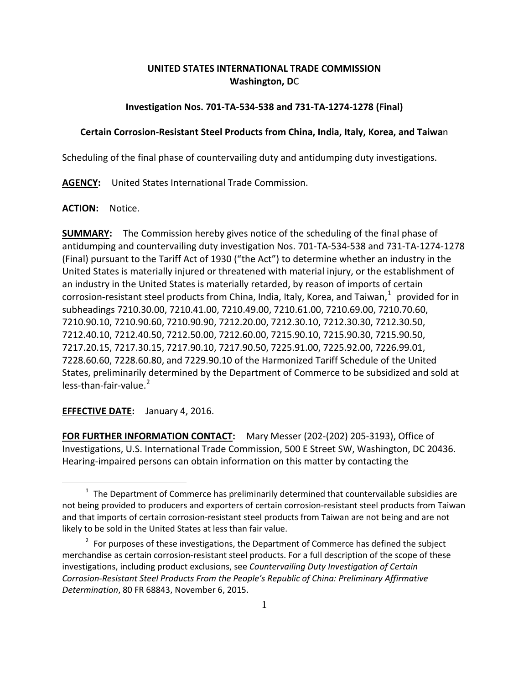# **UNITED STATES INTERNATIONAL TRADE COMMISSION Washington, D**C

## **Investigation Nos. 701-TA-534-538 and 731-TA-1274-1278 (Final)**

### **Certain Corrosion-Resistant Steel Products from China, India, Italy, Korea, and Taiwa**n

Scheduling of the final phase of countervailing duty and antidumping duty investigations.

**AGENCY:** United States International Trade Commission.

#### **ACTION:** Notice.

**SUMMARY:** The Commission hereby gives notice of the scheduling of the final phase of antidumping and countervailing duty investigation Nos. 701-TA-534-538 and 731-TA-1274-1278 (Final) pursuant to the Tariff Act of 1930 ("the Act") to determine whether an industry in the United States is materially injured or threatened with material injury, or the establishment of an industry in the United States is materially retarded, by reason of imports of certain corrosion-resistant steel products from China, India, Italy, Korea, and Taiwan, $^1$  $^1$  provided for in subheadings 7210.30.00, 7210.41.00, 7210.49.00, 7210.61.00, 7210.69.00, 7210.70.60, 7210.90.10, 7210.90.60, 7210.90.90, 7212.20.00, 7212.30.10, 7212.30.30, 7212.30.50, 7212.40.10, 7212.40.50, 7212.50.00, 7212.60.00, 7215.90.10, 7215.90.30, 7215.90.50, 7217.20.15, 7217.30.15, 7217.90.10, 7217.90.50, 7225.91.00, 7225.92.00, 7226.99.01, 7228.60.60, 7228.60.80, and 7229.90.10 of the Harmonized Tariff Schedule of the United States, preliminarily determined by the Department of Commerce to be subsidized and sold at  $less$ -than-fair-value. $2$ 

**EFFECTIVE DATE:** January 4, 2016.

 $\overline{a}$ 

**FOR FURTHER INFORMATION CONTACT:** Mary Messer (202-(202) 205-3193), Office of Investigations, U.S. International Trade Commission, 500 E Street SW, Washington, DC 20436. Hearing-impaired persons can obtain information on this matter by contacting the

<span id="page-0-0"></span> $1$  The Department of Commerce has preliminarily determined that countervailable subsidies are not being provided to producers and exporters of certain corrosion-resistant steel products from Taiwan and that imports of certain corrosion-resistant steel products from Taiwan are not being and are not likely to be sold in the United States at less than fair value.

<span id="page-0-1"></span> $2$  For purposes of these investigations, the Department of Commerce has defined the subject merchandise as certain corrosion-resistant steel products. For a full description of the scope of these investigations, including product exclusions, see *Countervailing Duty Investigation of Certain Corrosion-Resistant Steel Products From the People's Republic of China: Preliminary Affirmative Determination*, 80 FR 68843, November 6, 2015.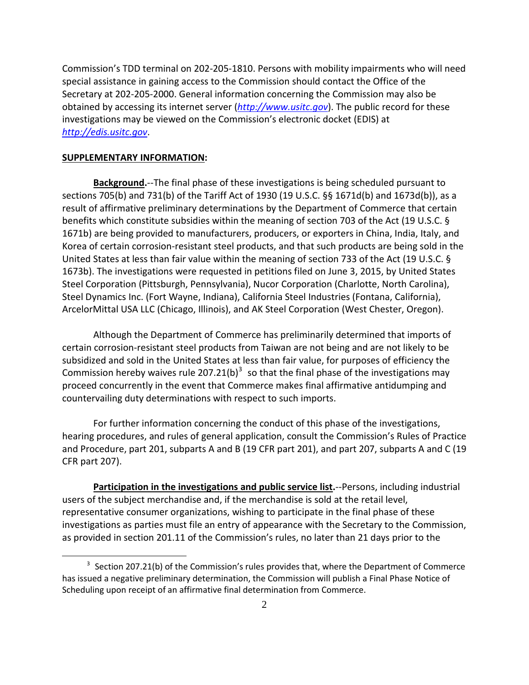Commission's TDD terminal on 202-205-1810. Persons with mobility impairments who will need special assistance in gaining access to the Commission should contact the Office of the Secretary at 202-205-2000. General information concerning the Commission may also be obtained by accessing its internet server (*[http://www.usitc.gov](http://www.usitc.gov/)*). The public record for these investigations may be viewed on the Commission's electronic docket (EDIS) at *[http://edis.usitc.gov](http://edis.usitc.gov/)*.

#### **SUPPLEMENTARY INFORMATION:**

 $\overline{a}$ 

**Background.**--The final phase of these investigations is being scheduled pursuant to sections 705(b) and 731(b) of the Tariff Act of 1930 (19 U.S.C. §§ 1671d(b) and 1673d(b)), as a result of affirmative preliminary determinations by the Department of Commerce that certain benefits which constitute subsidies within the meaning of section 703 of the Act (19 U.S.C. § 1671b) are being provided to manufacturers, producers, or exporters in China, India, Italy, and Korea of certain corrosion-resistant steel products, and that such products are being sold in the United States at less than fair value within the meaning of section 733 of the Act (19 U.S.C. § 1673b). The investigations were requested in petitions filed on June 3, 2015, by United States Steel Corporation (Pittsburgh, Pennsylvania), Nucor Corporation (Charlotte, North Carolina), Steel Dynamics Inc. (Fort Wayne, Indiana), California Steel Industries (Fontana, California), ArcelorMittal USA LLC (Chicago, Illinois), and AK Steel Corporation (West Chester, Oregon).

Although the Department of Commerce has preliminarily determined that imports of certain corrosion-resistant steel products from Taiwan are not being and are not likely to be subsidized and sold in the United States at less than fair value, for purposes of efficiency the Commission hereby waives rule 207.21(b)<sup>[3](#page-1-0)</sup> so that the final phase of the investigations may proceed concurrently in the event that Commerce makes final affirmative antidumping and countervailing duty determinations with respect to such imports.

For further information concerning the conduct of this phase of the investigations, hearing procedures, and rules of general application, consult the Commission's Rules of Practice and Procedure, part 201, subparts A and B (19 CFR part 201), and part 207, subparts A and C (19 CFR part 207).

**Participation in the investigations and public service list.**--Persons, including industrial users of the subject merchandise and, if the merchandise is sold at the retail level, representative consumer organizations, wishing to participate in the final phase of these investigations as parties must file an entry of appearance with the Secretary to the Commission, as provided in section 201.11 of the Commission's rules, no later than 21 days prior to the

<span id="page-1-0"></span> $3$  Section 207.21(b) of the Commission's rules provides that, where the Department of Commerce has issued a negative preliminary determination, the Commission will publish a Final Phase Notice of Scheduling upon receipt of an affirmative final determination from Commerce.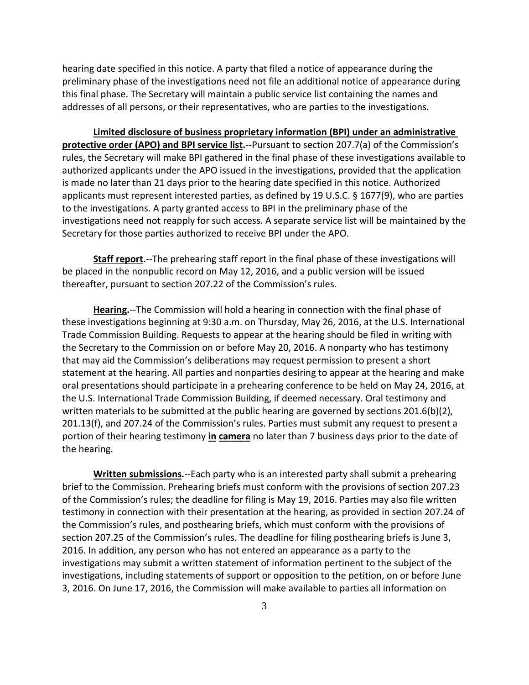hearing date specified in this notice. A party that filed a notice of appearance during the preliminary phase of the investigations need not file an additional notice of appearance during this final phase. The Secretary will maintain a public service list containing the names and addresses of all persons, or their representatives, who are parties to the investigations.

**Limited disclosure of business proprietary information (BPI) under an administrative protective order (APO) and BPI service list.**--Pursuant to section 207.7(a) of the Commission's rules, the Secretary will make BPI gathered in the final phase of these investigations available to authorized applicants under the APO issued in the investigations, provided that the application is made no later than 21 days prior to the hearing date specified in this notice. Authorized applicants must represent interested parties, as defined by 19 U.S.C. § 1677(9), who are parties to the investigations. A party granted access to BPI in the preliminary phase of the investigations need not reapply for such access. A separate service list will be maintained by the Secretary for those parties authorized to receive BPI under the APO.

**Staff report.**--The prehearing staff report in the final phase of these investigations will be placed in the nonpublic record on May 12, 2016, and a public version will be issued thereafter, pursuant to section 207.22 of the Commission's rules.

**Hearing.**--The Commission will hold a hearing in connection with the final phase of these investigations beginning at 9:30 a.m. on Thursday, May 26, 2016, at the U.S. International Trade Commission Building. Requests to appear at the hearing should be filed in writing with the Secretary to the Commission on or before May 20, 2016. A nonparty who has testimony that may aid the Commission's deliberations may request permission to present a short statement at the hearing. All parties and nonparties desiring to appear at the hearing and make oral presentations should participate in a prehearing conference to be held on May 24, 2016, at the U.S. International Trade Commission Building, if deemed necessary. Oral testimony and written materials to be submitted at the public hearing are governed by sections 201.6(b)(2), 201.13(f), and 207.24 of the Commission's rules. Parties must submit any request to present a portion of their hearing testimony **in camera** no later than 7 business days prior to the date of the hearing.

**Written submissions.**--Each party who is an interested party shall submit a prehearing brief to the Commission. Prehearing briefs must conform with the provisions of section 207.23 of the Commission's rules; the deadline for filing is May 19, 2016. Parties may also file written testimony in connection with their presentation at the hearing, as provided in section 207.24 of the Commission's rules, and posthearing briefs, which must conform with the provisions of section 207.25 of the Commission's rules. The deadline for filing posthearing briefs is June 3, 2016. In addition, any person who has not entered an appearance as a party to the investigations may submit a written statement of information pertinent to the subject of the investigations, including statements of support or opposition to the petition, on or before June 3, 2016. On June 17, 2016, the Commission will make available to parties all information on